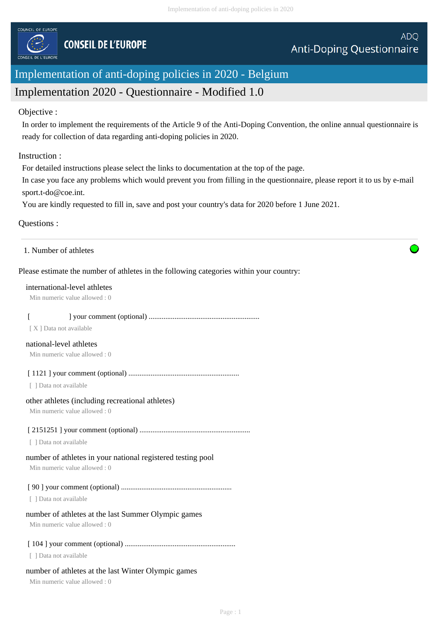

# Implementation of anti-doping policies in 2020 - Belgium

# Implementation 2020 - Questionnaire - Modified 1.0

#### Objective :

In order to implement the requirements of the Article 9 of the Anti-Doping Convention, the online annual questionnaire is ready for collection of data regarding anti-doping policies in 2020.

### Instruction :

For detailed instructions please select the links to documentation at the top of the page.

In case you face any problems which would prevent you from filling in the questionnaire, please report it to us by e-mail sport.t-do@coe.int.

You are kindly requested to fill in, save and post your country's data for 2020 before 1 June 2021.

# Questions :

| 1. Number of athletes |  |  |
|-----------------------|--|--|
|-----------------------|--|--|

# Please estimate the number of athletes in the following categories within your country:

#### international-level athletes

Min numeric value allowed : 0

# [ ] your comment (optional) ............................................................

[ X ] Data not available

#### national-level athletes

Min numeric value allowed : 0

[ 1121 ] your comment (optional) ............................................................

[ ] Data not available

#### other athletes (including recreational athletes)

Min numeric value allowed : 0

#### [ 2151251 ] your comment (optional) ............................................................

[ ] Data not available

# number of athletes in your national registered testing pool

Min numeric value allowed : 0

# [ 90 ] your comment (optional) ............................................................

[ ] Data not available

# number of athletes at the last Summer Olympic games

Min numeric value allowed : 0

# [ 104 ] your comment (optional) ............................................................

[ ] Data not available

# number of athletes at the last Winter Olympic games

Min numeric value allowed : 0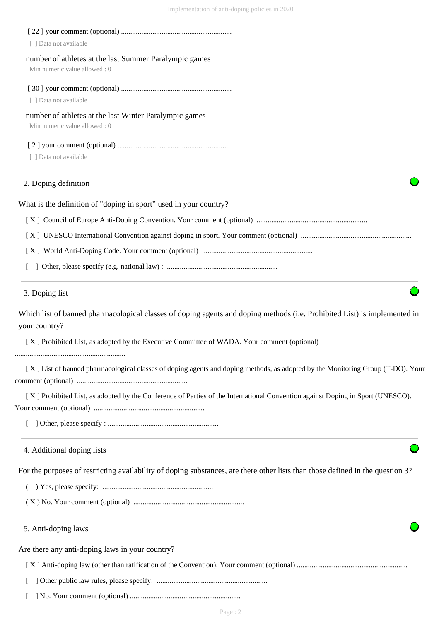| [ ] Data not available                                                                                                                     |
|--------------------------------------------------------------------------------------------------------------------------------------------|
| number of athletes at the last Summer Paralympic games                                                                                     |
| Min numeric value allowed: 0                                                                                                               |
|                                                                                                                                            |
| [ ] Data not available                                                                                                                     |
| number of athletes at the last Winter Paralympic games<br>Min numeric value allowed: 0                                                     |
|                                                                                                                                            |
| [ ] Data not available                                                                                                                     |
| 2. Doping definition                                                                                                                       |
| What is the definition of "doping in sport" used in your country?                                                                          |
|                                                                                                                                            |
|                                                                                                                                            |
|                                                                                                                                            |
|                                                                                                                                            |
| 3. Doping list                                                                                                                             |
| Which list of banned pharmacological classes of doping agents and doping methods (i.e. Prohibited List) is implemented in<br>your country? |
| [X] Prohibited List, as adopted by the Executive Committee of WADA. Your comment (optional)                                                |
| [X] List of banned pharmacological classes of doping agents and doping methods, as adopted by the Monitoring Group (T-DO). Your            |
| [X] Prohibited List, as adopted by the Conference of Parties of the International Convention against Doping in Sport (UNESCO).             |
|                                                                                                                                            |
| 4. Additional doping lists                                                                                                                 |
| For the purposes of restricting availability of doping substances, are there other lists than those defined in the question 3?             |
|                                                                                                                                            |
|                                                                                                                                            |
| 5. Anti-doping laws                                                                                                                        |
| Are there any anti-doping laws in your country?                                                                                            |
|                                                                                                                                            |
|                                                                                                                                            |
|                                                                                                                                            |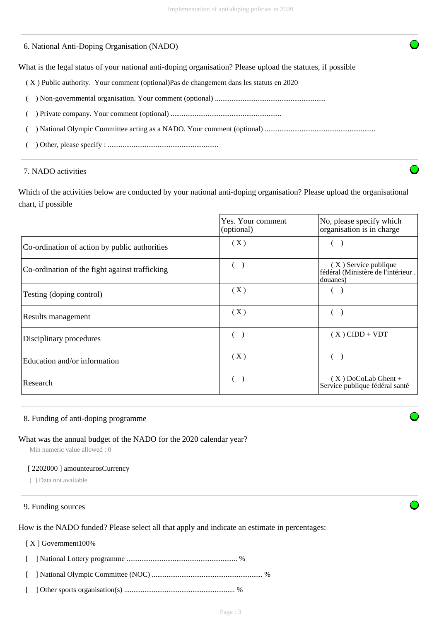#### 6. National Anti-Doping Organisation (NADO)

What is the legal status of your national anti-doping organisation? Please upload the statutes, if possible

- ( X ) Public authority. Your comment (optional)Pas de changement dans les statuts en 2020
- ( ) Non-governmental organisation. Your comment (optional) ............................................................
- ( ) Private company. Your comment (optional) ............................................................
- ( ) National Olympic Committee acting as a NADO. Your comment (optional) ............................................................
- ( ) Other, please specify : ............................................................

#### 7. NADO activities

Which of the activities below are conducted by your national anti-doping organisation? Please upload the organisational chart, if possible

|                                                | Yes. Your comment<br>(optional) | No, please specify which<br>organisation is in charge                    |
|------------------------------------------------|---------------------------------|--------------------------------------------------------------------------|
| Co-ordination of action by public authorities  | (X)                             |                                                                          |
| Co-ordination of the fight against trafficking |                                 | $(X)$ Service publique<br>fédéral (Ministère de l'intérieur.<br>douanes) |
| Testing (doping control)                       | (X)                             |                                                                          |
| Results management                             | (X)                             |                                                                          |
| Disciplinary procedures                        |                                 | $(X)$ CIDD + VDT                                                         |
| Education and/or information                   | (X)                             |                                                                          |
| Research                                       |                                 | $(X)$ DoCoLab Ghent +<br>Service publique fédéral santé                  |

#### 8. Funding of anti-doping programme

#### What was the annual budget of the NADO for the 2020 calendar year?

Min numeric value allowed : 0

#### [ 2202000 ] amounteurosCurrency

[ ] Data not available

#### 9. Funding sources

How is the NADO funded? Please select all that apply and indicate an estimate in percentages:

#### [ X ] Government100%

 [ ] National Lottery programme ............................................................ % [ ] National Olympic Committee (NOC) ............................................................ % [ ] Other sports organisation(s) ............................................................ %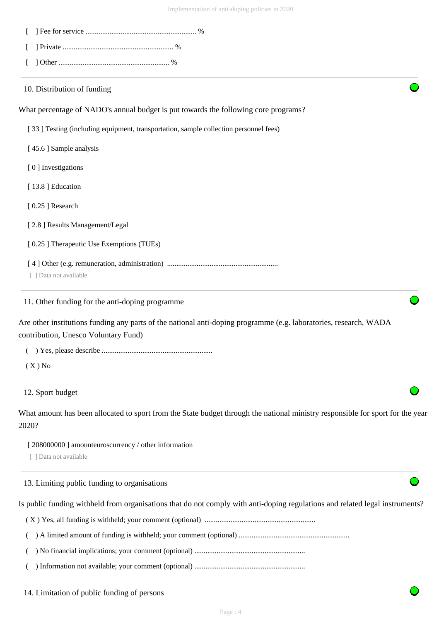| 10. Distribution of funding                                                                                                                               |
|-----------------------------------------------------------------------------------------------------------------------------------------------------------|
| What percentage of NADO's annual budget is put towards the following core programs?                                                                       |
| [33] Testing (including equipment, transportation, sample collection personnel fees)                                                                      |
| [45.6] Sample analysis                                                                                                                                    |
| [0] Investigations                                                                                                                                        |
| [13.8] Education                                                                                                                                          |
| [0.25] Research                                                                                                                                           |
| [2.8] Results Management/Legal                                                                                                                            |
| [0.25] Therapeutic Use Exemptions (TUEs)                                                                                                                  |
| [ ] Data not available                                                                                                                                    |
| 11. Other funding for the anti-doping programme                                                                                                           |
| Are other institutions funding any parts of the national anti-doping programme (e.g. laboratories, research, WADA<br>contribution, Unesco Voluntary Fund) |
|                                                                                                                                                           |
| $(X)$ No                                                                                                                                                  |
| 12. Sport budget                                                                                                                                          |
| What amount has been allocated to sport from the State budget through the national ministry responsible for sport for the year<br>2020?                   |
| [208000000] amounteuroscurrency / other information<br>[ ] Data not available                                                                             |
| 12 I imiting public funding to organizations                                                                                                              |

13. Limiting public funding to organisations

Is public funding withheld from organisations that do not comply with anti-doping regulations and related legal instruments?

( X ) Yes, all funding is withheld; your comment (optional) ............................................................

( ) A limited amount of funding is withheld; your comment (optional) ............................................................

( ) No financial implications; your comment (optional) ............................................................

( ) Information not available; your comment (optional) ............................................................

14. Limitation of public funding of persons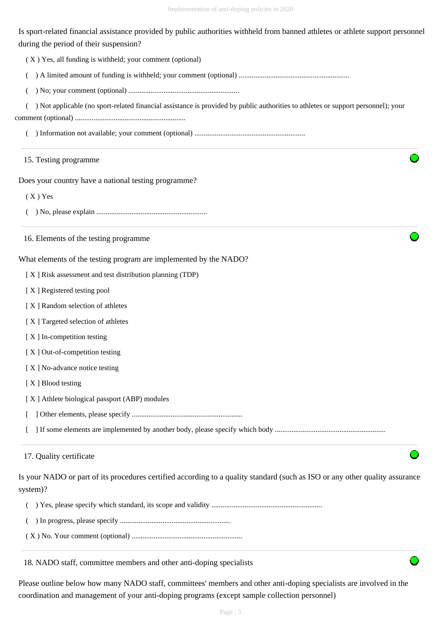Is sport-related financial assistance provided by public authorities withheld from banned athletes or athlete support personnel during the period of their suspension?

( X ) Yes, all funding is withheld; your comment (optional)

( ) A limited amount of funding is withheld; your comment (optional) ............................................................

( ) No; your comment (optional) ............................................................

( ) Not applicable (no sport-related financial assistance is provided by public authorities to athletes or support personnel); your

comment (optional) ............................................................

( ) Information not available; your comment (optional) ............................................................

#### 15. Testing programme

Does your country have a national testing programme?

( X ) Yes

( ) No, please explain ............................................................

16. Elements of the testing programme

What elements of the testing program are implemented by the NADO?

[ X ] Risk assessment and test distribution planning (TDP)

[ X ] Registered testing pool

- [ X ] Random selection of athletes
- [ X ] Targeted selection of athletes
- [ X ] In-competition testing
- [X] Out-of-competition testing
- [X] No-advance notice testing
- [X ] Blood testing
- [ X ] Athlete biological passport (ABP) modules
- [ ] Other elements, please specify ............................................................

[ ] If some elements are implemented by another body, please specify which body ............................................................

### 17. Quality certificate

Is your NADO or part of its procedures certified according to a quality standard (such as ISO or any other quality assurance system)?

|--|--|--|--|--|--|

- ( ) In progress, please specify ............................................................
- ( X ) No. Your comment (optional) ............................................................

18. NADO staff, committee members and other anti-doping specialists

Please outline below how many NADO staff, committees' members and other anti-doping specialists are involved in the coordination and management of your anti-doping programs (except sample collection personnel)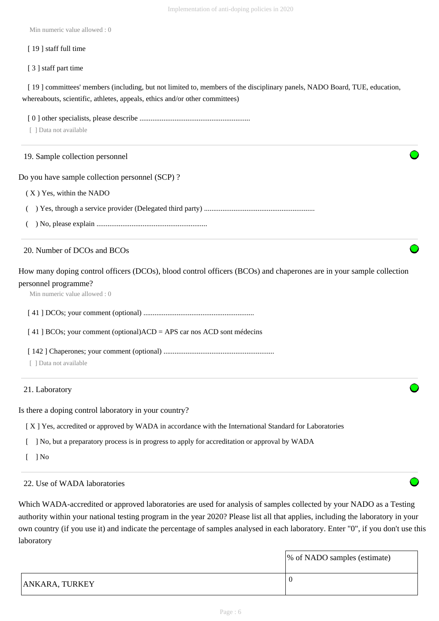Min numeric value allowed : 0

#### [19] staff full time

[ 3 ] staff part time

[ 19 ] committees' members (including, but not limited to, members of the disciplinary panels, NADO Board, TUE, education, whereabouts, scientific, athletes, appeals, ethics and/or other committees)

 [ 0 ] other specialists, please describe ............................................................ [ ] Data not available Do you have sample collection personnel (SCP) ? ( X ) Yes, within the NADO ( ) Yes, through a service provider (Delegated third party) ............................................................ ( ) No, please explain ............................................................ How many doping control officers (DCOs), blood control officers (BCOs) and chaperones are in your sample collection personnel programme? Min numeric value allowed : 0 [ 41 ] DCOs; your comment (optional) ............................................................ [ 41 ] BCOs; your comment (optional)ACD = APS car nos ACD sont médecins [ 142 ] Chaperones; your comment (optional) ............................................................ [ ] Data not available Is there a doping control laboratory in your country? [ X ] Yes, accredited or approved by WADA in accordance with the International Standard for Laboratories 19. Sample collection personnel 20. Number of DCOs and BCOs 21. Laboratory

[ ] No, but a preparatory process is in progress to apply for accreditation or approval by WADA

 $\lceil$   $\rceil$  No

# 22. Use of WADA laboratories

Which WADA-accredited or approved laboratories are used for analysis of samples collected by your NADO as a Testing authority within your national testing program in the year 2020? Please list all that applies, including the laboratory in your own country (if you use it) and indicate the percentage of samples analysed in each laboratory. Enter "0", if you don't use this laboratory

|                       | \% of NADO samples (estimate) |
|-----------------------|-------------------------------|
| <b>ANKARA, TURKEY</b> | -0                            |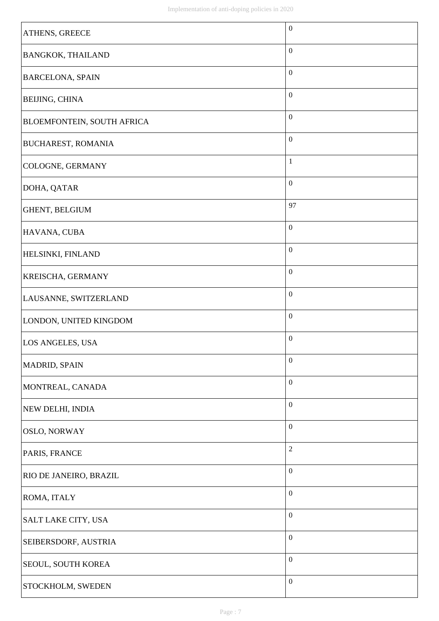| ATHENS, GREECE                    | $\boldsymbol{0}$ |
|-----------------------------------|------------------|
| <b>BANGKOK, THAILAND</b>          | $\boldsymbol{0}$ |
| <b>BARCELONA, SPAIN</b>           | $\boldsymbol{0}$ |
| <b>BEIJING, CHINA</b>             | $\boldsymbol{0}$ |
| <b>BLOEMFONTEIN, SOUTH AFRICA</b> | $\boldsymbol{0}$ |
| <b>BUCHAREST, ROMANIA</b>         | $\boldsymbol{0}$ |
| <b>COLOGNE, GERMANY</b>           | $\mathbf{1}$     |
| DOHA, QATAR                       | $\boldsymbol{0}$ |
| GHENT, BELGIUM                    | 97               |
| HAVANA, CUBA                      | $\boldsymbol{0}$ |
| <b>HELSINKI, FINLAND</b>          | $\boldsymbol{0}$ |
| <b>KREISCHA, GERMANY</b>          | $\boldsymbol{0}$ |
| LAUSANNE, SWITZERLAND             | $\boldsymbol{0}$ |
| LONDON, UNITED KINGDOM            | $\boldsymbol{0}$ |
| LOS ANGELES, USA                  | $\boldsymbol{0}$ |
| <b>MADRID, SPAIN</b>              | $\boldsymbol{0}$ |
| MONTREAL, CANADA                  | $\boldsymbol{0}$ |
| NEW DELHI, INDIA                  | $\boldsymbol{0}$ |
| <b>OSLO, NORWAY</b>               | $\boldsymbol{0}$ |
| PARIS, FRANCE                     | $\overline{2}$   |
| <b>RIO DE JANEIRO, BRAZIL</b>     | $\boldsymbol{0}$ |
| <b>ROMA, ITALY</b>                | $\boldsymbol{0}$ |
| SALT LAKE CITY, USA               | $\boldsymbol{0}$ |
| SEIBERSDORF, AUSTRIA              | $\boldsymbol{0}$ |
| SEOUL, SOUTH KOREA                | $\boldsymbol{0}$ |
| STOCKHOLM, SWEDEN                 | $\boldsymbol{0}$ |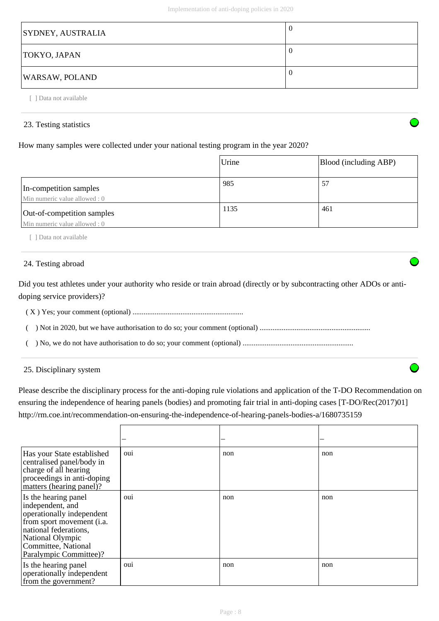| <b>SYDNEY, AUSTRALIA</b> | -0 |
|--------------------------|----|
| TOKYO, JAPAN             | -0 |
| <b>WARSAW, POLAND</b>    | -0 |

23. Testing statistics

[ ] Data not available

# How many samples were collected under your national testing program in the year 2020?

|                                                             | Urine | Blood (including ABP) |
|-------------------------------------------------------------|-------|-----------------------|
| In-competition samples<br>Min numeric value allowed : 0     | 985   | 57                    |
| Out-of-competition samples<br>Min numeric value allowed : 0 | 1135  | 461                   |

[ ] Data not available

# 24. Testing abroad

Did you test athletes under your authority who reside or train abroad (directly or by subcontracting other ADOs or antidoping service providers)?

( X ) Yes; your comment (optional) ............................................................

( ) Not in 2020, but we have authorisation to do so; your comment (optional) ............................................................

( ) No, we do not have authorisation to do so; your comment (optional) ............................................................

25. Disciplinary system

Please describe the disciplinary process for the anti-doping rule violations and application of the T-DO Recommendation on ensuring the independence of hearing panels (bodies) and promoting fair trial in anti-doping cases [T-DO/Rec(2017)01] http://rm.coe.int/recommendation-on-ensuring-the-independence-of-hearing-panels-bodies-a/1680735159

| Has your State established<br>centralised panel/body in<br>charge of all hearing<br>proceedings in anti-doping<br>matters (hearing panel)?                                                       | oui            | non | non |
|--------------------------------------------------------------------------------------------------------------------------------------------------------------------------------------------------|----------------|-----|-----|
| Is the hearing panel<br>independent, and<br>operationally independent<br>from sport movement (i.a.<br>national federations,<br>National Olympic<br>Committee, National<br>Paralympic Committee)? | <sub>oui</sub> | non | non |
| Is the hearing panel<br>operationally independent<br>from the government?                                                                                                                        | <sub>oui</sub> | non | non |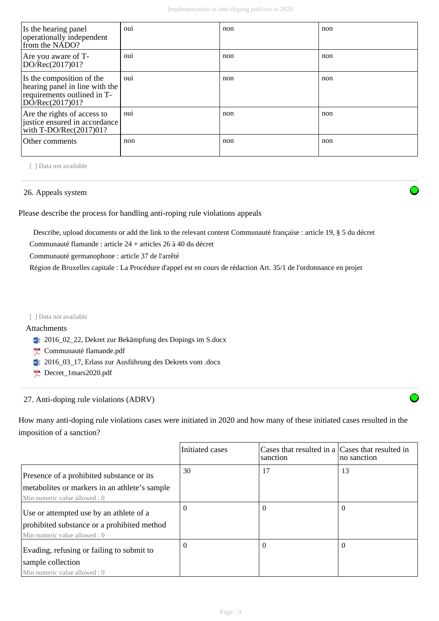| Is the hearing panel<br>operationally independent<br>from the NADO?                                           | <sub>oui</sub> | non | non |
|---------------------------------------------------------------------------------------------------------------|----------------|-----|-----|
| Are you aware of T-<br>DO/Rec(2017)01?                                                                        | OU1            | non | non |
| Is the composition of the<br>hearing panel in line with the<br>requirements outlined in T-<br>DO/Rec(2017)01? | OU1            | non | non |
| Are the rights of access to<br>justice ensured in accordance<br>with $T\text{-DO/Rec}(2017)01?$               | <sub>oui</sub> | non | non |
| Other comments                                                                                                | non            | non | non |

[ ] Data not available

#### 26. Appeals system

Please describe the process for handling anti-roping rule violations appeals

 Describe, upload documents or add the link to the relevant content Communauté française : article 19, § 5 du décret Communauté flamande : article 24 + articles 26 à 40 du décret

Communauté germanophone : article 37 de l'arrêté

Région de Bruxelles capitale : La Procédure d'appel est en cours de rédaction Art. 35/1 de l'ordonnance en projet

#### [ ] Data not available

#### Attachments

- <sup>2016\_02\_22, Dekret zur Bekämpfung des Dopings im S.docx</sup>
- Communauté flamande.pdf
- <sup>2016\_03\_17, Erlass zur Ausführung des Dekrets vom .docx</sup>
- Decret\_1mars2020.pdf

# 27. Anti-doping rule violations (ADRV)

How many anti-doping rule violations cases were initiated in 2020 and how many of these initiated cases resulted in the imposition of a sanction?

|                                                | Initiated cases | Cases that resulted in a Cases that resulted in<br>sanction | no sanction |
|------------------------------------------------|-----------------|-------------------------------------------------------------|-------------|
| Presence of a prohibited substance or its      | 30              | 17                                                          | 13          |
| metabolities or markers in an athlete's sample |                 |                                                             |             |
| Min numeric value allowed : 0                  |                 |                                                             |             |
| Use or attempted use by an athlete of a        | $\theta$        | $\Omega$                                                    | $\Omega$    |
| prohibited substance or a prohibited method    |                 |                                                             |             |
| Min numeric value allowed : 0                  |                 |                                                             |             |
| Evading, refusing or failing to submit to      | $\Omega$        | $\Omega$                                                    | $\Omega$    |
| sample collection                              |                 |                                                             |             |
| Min numeric value allowed: 0                   |                 |                                                             |             |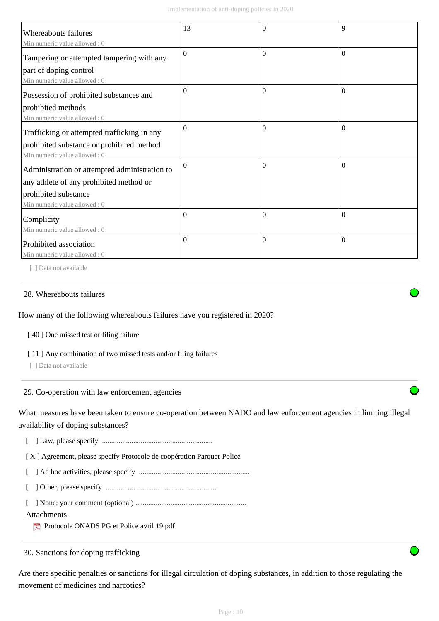| <b>Whereabouts failures</b><br>Min numeric value allowed: 0                                                                   | 13       | $\Omega$         | 9        |
|-------------------------------------------------------------------------------------------------------------------------------|----------|------------------|----------|
| Tampering or attempted tampering with any<br>part of doping control                                                           | $\Omega$ | $\Omega$         | $\Omega$ |
| Min numeric value allowed: 0<br>Possession of prohibited substances and<br>prohibited methods<br>Min numeric value allowed: 0 | $\Omega$ | $\theta$         | $\theta$ |
| Trafficking or attempted trafficking in any<br>prohibited substance or prohibited method<br>Min numeric value allowed: 0      | $\Omega$ | $\boldsymbol{0}$ | $\Omega$ |
| Administration or attempted administration to<br>any athlete of any prohibited method or<br>prohibited substance              | $\Omega$ | $\Omega$         | $\Omega$ |
| Min numeric value allowed : 0<br>Complicity<br>Min numeric value allowed: 0                                                   | $\Omega$ | $\mathbf{0}$     | $\Omega$ |
| Prohibited association<br>Min numeric value allowed: 0                                                                        | $\Omega$ | $\mathbf{0}$     | $\Omega$ |

[ ] Data not available

#### 28. Whereabouts failures

How many of the following whereabouts failures have you registered in 2020?

[40] One missed test or filing failure

[11] Any combination of two missed tests and/or filing failures

[ ] Data not available

29. Co-operation with law enforcement agencies

What measures have been taken to ensure co-operation between NADO and law enforcement agencies in limiting illegal availability of doping substances?

[ ] Law, please specify ............................................................

[ X ] Agreement, please specify Protocole de coopération Parquet-Police

[ ] Ad hoc activities, please specify ............................................................

[ ] Other, please specify ............................................................

[ ] None; your comment (optional) ............................................................

#### Attachments

Protocole ONADS PG et Police avril 19.pdf

30. Sanctions for doping trafficking

Are there specific penalties or sanctions for illegal circulation of doping substances, in addition to those regulating the movement of medicines and narcotics?

Page : 10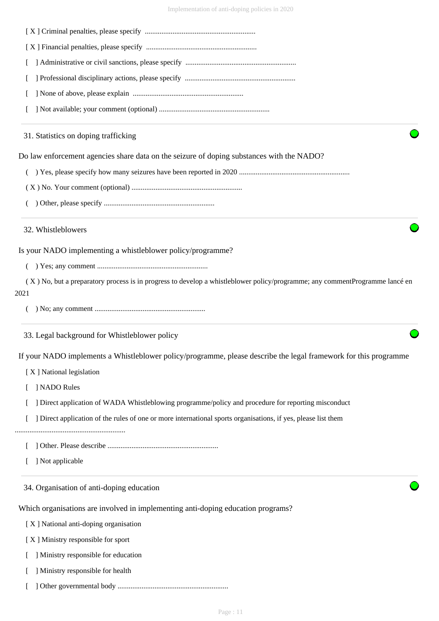|      | 31. Statistics on doping trafficking                                                                                        |
|------|-----------------------------------------------------------------------------------------------------------------------------|
|      | Do law enforcement agencies share data on the seizure of doping substances with the NADO?                                   |
|      |                                                                                                                             |
|      |                                                                                                                             |
|      |                                                                                                                             |
|      | 32. Whistleblowers                                                                                                          |
|      | Is your NADO implementing a whistleblower policy/programme?                                                                 |
|      |                                                                                                                             |
| 2021 | (X) No, but a preparatory process is in progress to develop a whistleblower policy/programme; any commentProgramme lancé en |
|      |                                                                                                                             |
|      | 33. Legal background for Whistleblower policy                                                                               |
|      | If your NADO implements a Whistleblower policy/programme, please describe the legal framework for this programme            |
|      | [X] National legislation                                                                                                    |
|      | ] NADO Rules                                                                                                                |
|      | Direct application of WADA Whistleblowing programme/policy and procedure for reporting misconduct                           |
|      | Direct application of the rules of one or more international sports organisations, if yes, please list them                 |
|      |                                                                                                                             |
|      | ] Not applicable                                                                                                            |
|      | 34. Organisation of anti-doping education                                                                                   |
|      | Which organisations are involved in implementing anti-doping education programs?                                            |
|      | [X] National anti-doping organisation                                                                                       |
|      | [X] Ministry responsible for sport                                                                                          |
|      | Ministry responsible for education                                                                                          |
|      | ] Ministry responsible for health                                                                                           |

[ ] Other governmental body ............................................................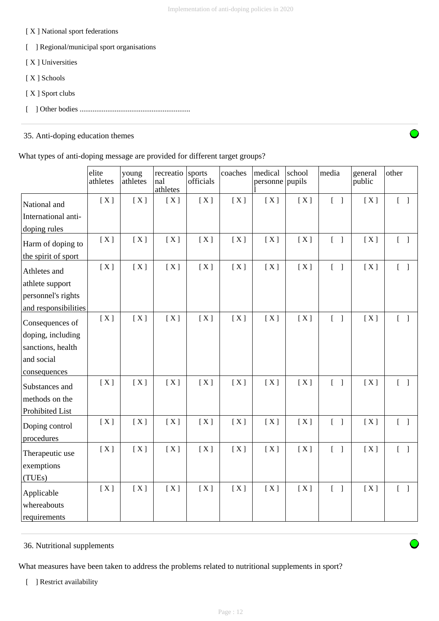#### [ X ] National sport federations

- [ ] Regional/municipal sport organisations
- [ X ] Universities
- [ X ] Schools
- [ X ] Sport clubs
- [ ] Other bodies ............................................................

# 35. Anti-doping education themes

|  |  | What types of anti-doping message are provided for different target groups? |
|--|--|-----------------------------------------------------------------------------|
|  |  |                                                                             |
|  |  |                                                                             |
|  |  |                                                                             |

|                              | elite<br>athletes | young<br>athletes | recreatio<br>nal<br>athletes | sports<br>officials | coaches | medical<br>personne | school<br>pupils | media                             | general<br>public | other                             |
|------------------------------|-------------------|-------------------|------------------------------|---------------------|---------|---------------------|------------------|-----------------------------------|-------------------|-----------------------------------|
| National and                 | [X]               | [X]               | [X]                          | [X]                 | [X]     | [X]                 | [X]              | $[\ ]$                            | [X]               | $[\ ]$                            |
| International anti-          |                   |                   |                              |                     |         |                     |                  |                                   |                   |                                   |
| doping rules                 |                   |                   |                              |                     |         |                     |                  |                                   |                   |                                   |
| Harm of doping to            | [X]               | [X]               | [X]                          | [X]                 | [X]     | [X]                 | [X]              | $\begin{bmatrix} 1 \end{bmatrix}$ | [X]               | $[\ ]$                            |
| the spirit of sport          |                   |                   |                              |                     |         |                     |                  |                                   |                   |                                   |
| Athletes and                 | [X]               | [X]               | [X]                          | [X]                 | [X]     | [X]                 | [X]              | $[\ ]$                            | [X]               | $[\ ]$                            |
| athlete support              |                   |                   |                              |                     |         |                     |                  |                                   |                   |                                   |
| personnel's rights           |                   |                   |                              |                     |         |                     |                  |                                   |                   |                                   |
| and responsibilities         |                   |                   |                              |                     |         |                     |                  |                                   |                   |                                   |
| Consequences of              | [X]               | [X]               | [X]                          | [X]                 | [X]     | [X]                 | [X]              | $\begin{bmatrix} 1 \end{bmatrix}$ | [X]               | $[ \ ]$                           |
| doping, including            |                   |                   |                              |                     |         |                     |                  |                                   |                   |                                   |
| sanctions, health            |                   |                   |                              |                     |         |                     |                  |                                   |                   |                                   |
| and social                   |                   |                   |                              |                     |         |                     |                  |                                   |                   |                                   |
| consequences                 |                   |                   |                              |                     |         |                     |                  |                                   |                   |                                   |
| Substances and               | [X]               | [X]               | [X]                          | [X]                 | [X]     | [X]                 | [X]              | $\begin{bmatrix} 1 \end{bmatrix}$ | [X]               |                                   |
| methods on the               |                   |                   |                              |                     |         |                     |                  |                                   |                   |                                   |
| Prohibited List              |                   |                   |                              |                     |         |                     |                  |                                   |                   |                                   |
| Doping control<br>procedures | [X]               | [X]               | [X]                          | [X]                 | [X]     | [X]                 | [X]              | $\begin{bmatrix} 1 \end{bmatrix}$ | [X]               | $\begin{bmatrix} 1 \end{bmatrix}$ |
| Therapeutic use              | [X]               | [X]               | [X]                          | [X]                 | [X]     | [X]                 | [X]              | $\begin{bmatrix} 1 \end{bmatrix}$ | [X]               | $\begin{bmatrix} 1 \end{bmatrix}$ |
| exemptions                   |                   |                   |                              |                     |         |                     |                  |                                   |                   |                                   |
| (TUEs)                       |                   |                   |                              |                     |         |                     |                  |                                   |                   |                                   |
| Applicable                   | [X]               | [X]               | [X]                          | [X]                 | [X]     | [X]                 | [X]              | $[\ ]$                            | [X]               | $\begin{bmatrix} 1 \end{bmatrix}$ |
| whereabouts                  |                   |                   |                              |                     |         |                     |                  |                                   |                   |                                   |
| requirements                 |                   |                   |                              |                     |         |                     |                  |                                   |                   |                                   |

36. Nutritional supplements

What measures have been taken to address the problems related to nutritional supplements in sport?

[ ] Restrict availability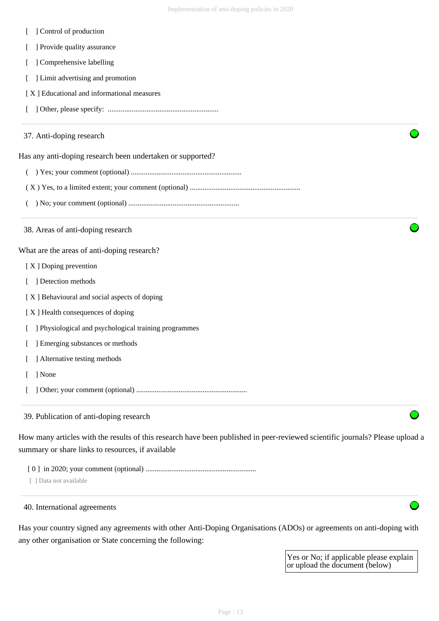- [ ] Control of production
- [ ] Provide quality assurance
- [ ] Comprehensive labelling
- [ ] Limit advertising and promotion
- [ X ] Educational and informational measures
- [ ] Other, please specify: ............................................................

#### 37. Anti-doping research

Has any anti-doping research been undertaken or supported?

- ( ) Yes; your comment (optional) ............................................................
- ( X ) Yes, to a limited extent; your comment (optional) ............................................................
- ( ) No; your comment (optional) ............................................................
- 38. Areas of anti-doping research

What are the areas of anti-doping research?

- [X ] Doping prevention
- [ ] Detection methods
- [ X ] Behavioural and social aspects of doping
- [ X ] Health consequences of doping
- [ ] Physiological and psychological training programmes
- [ ] Emerging substances or methods
- [ ] Alternative testing methods
- [ ] None
- [ ] Other; your comment (optional) ............................................................

39. Publication of anti-doping research

How many articles with the results of this research have been published in peer-reviewed scientific journals? Please upload a summary or share links to resources, if available

- [ 0 ] in 2020; your comment (optional) ............................................................
- [ ] Data not available

### 40. International agreements

Has your country signed any agreements with other Anti-Doping Organisations (ADOs) or agreements on anti-doping with any other organisation or State concerning the following:

> Yes or No; if applicable please explain or upload the document (below)